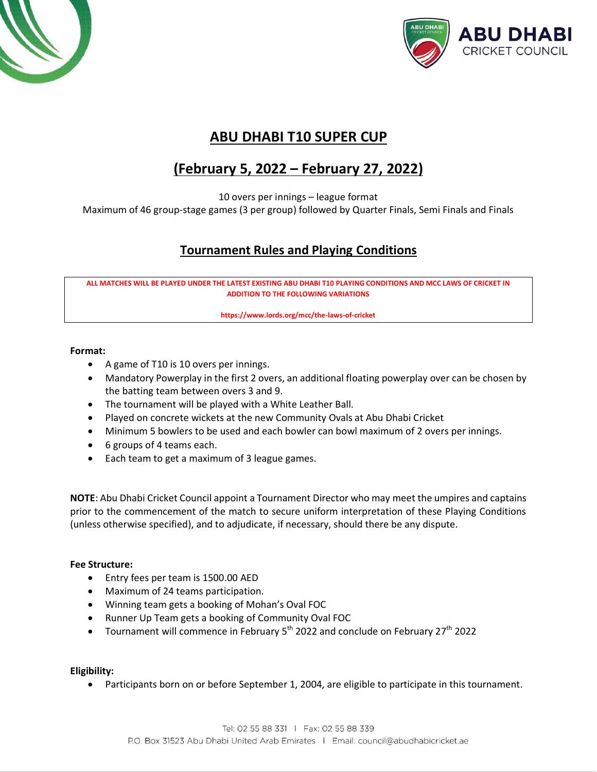



## **ABU DHABI T10 SUPER CUP**

# **(February 5, 2022 – February 27, 2022)**

10 overs per innings – league format

Maximum of 46 group-stage games (3 per group) followed by Quarter Finals, Semi Finals and Finals

### **Tournament Rules and Playing Conditions**

**ALL MATCHES WILL BE PLAYED UNDER THE LATEST EXISTING ABU DHABI T10 PLAYING CONDITIONS AND MCC LAWS OF CRICKET IN ADDITION TO THE FOLLOWING VARIATIONS** 

**https://www.lords.org/mcc/the-laws-of-cricket**

#### **Format:**

- A game of T10 is 10 overs per innings.
- Mandatory Powerplay in the first 2 overs, an additional floating powerplay over can be chosen by the batting team between overs 3 and 9.
- The tournament will be played with a White Leather Ball.
- Played on concrete wickets at the new Community Ovals at Abu Dhabi Cricket
- Minimum 5 bowlers to be used and each bowler can bowl maximum of 2 overs per innings.
- 6 groups of 4 teams each.
- Each team to get a maximum of 3 league games.

**NOTE**: Abu Dhabi Cricket Council appoint a Tournament Director who may meet the umpires and captains prior to the commencement of the match to secure uniform interpretation of these Playing Conditions (unless otherwise specified), and to adjudicate, if necessary, should there be any dispute.

#### **Fee Structure:**

- Entry fees per team is 1500.00 AED
- Maximum of 24 teams participation.
- Winning team gets a booking of Mohan's Oval FOC
- Runner Up Team gets a booking of Community Oval FOC
- Tournament will commence in February  $5<sup>th</sup>$  2022 and conclude on February 27<sup>th</sup> 2022

**Eligibility:**

• Participants born on or before September 1, 2004, are eligible to participate in this tournament.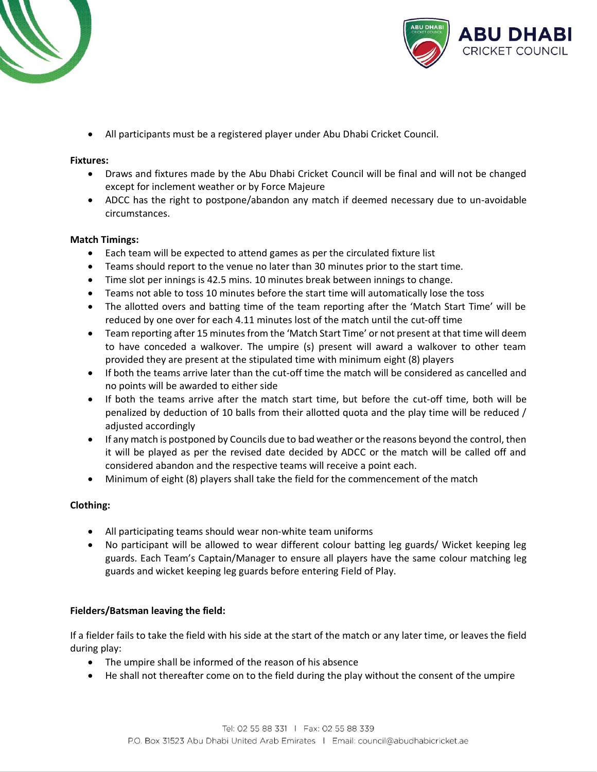



• All participants must be a registered player under Abu Dhabi Cricket Council.

#### **Fixtures:**

- Draws and fixtures made by the Abu Dhabi Cricket Council will be final and will not be changed except for inclement weather or by Force Majeure
- ADCC has the right to postpone/abandon any match if deemed necessary due to un-avoidable circumstances.

#### **Match Timings:**

- Each team will be expected to attend games as per the circulated fixture list
- Teams should report to the venue no later than 30 minutes prior to the start time.
- Time slot per innings is 42.5 mins. 10 minutes break between innings to change.
- Teams not able to toss 10 minutes before the start time will automatically lose the toss
- The allotted overs and batting time of the team reporting after the 'Match Start Time' will be reduced by one over for each 4.11 minutes lost of the match until the cut-off time
- Team reporting after 15 minutes from the 'Match Start Time' or not present at that time will deem to have conceded a walkover. The umpire (s) present will award a walkover to other team provided they are present at the stipulated time with minimum eight (8) players
- If both the teams arrive later than the cut-off time the match will be considered as cancelled and no points will be awarded to either side
- If both the teams arrive after the match start time, but before the cut-off time, both will be penalized by deduction of 10 balls from their allotted quota and the play time will be reduced / adjusted accordingly
- If any match is postponed by Councils due to bad weather or the reasons beyond the control, then it will be played as per the revised date decided by ADCC or the match will be called off and considered abandon and the respective teams will receive a point each.
- Minimum of eight (8) players shall take the field for the commencement of the match

#### **Clothing:**

- All participating teams should wear non-white team uniforms
- No participant will be allowed to wear different colour batting leg guards/ Wicket keeping leg guards. Each Team's Captain/Manager to ensure all players have the same colour matching leg guards and wicket keeping leg guards before entering Field of Play.

#### **Fielders/Batsman leaving the field:**

If a fielder fails to take the field with his side at the start of the match or any later time, or leaves the field during play:

- The umpire shall be informed of the reason of his absence
- He shall not thereafter come on to the field during the play without the consent of the umpire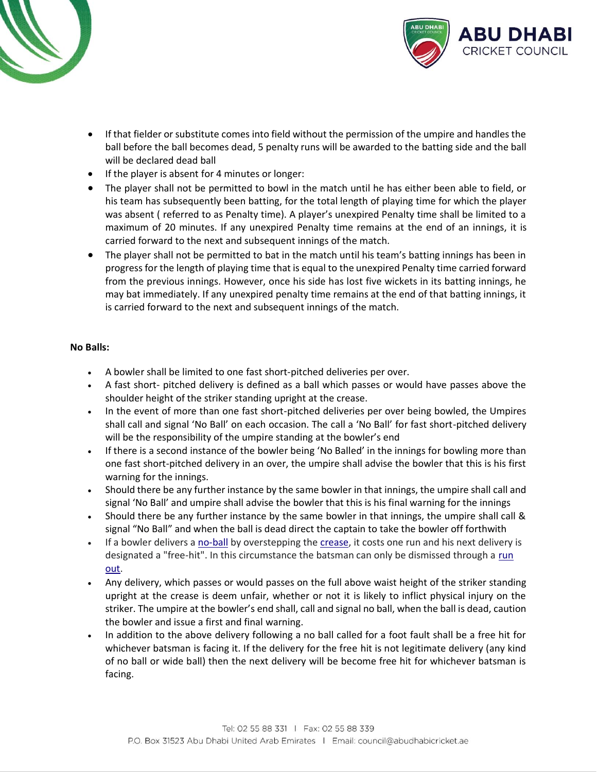



- If that fielder or substitute comes into field without the permission of the umpire and handles the ball before the ball becomes dead, 5 penalty runs will be awarded to the batting side and the ball will be declared dead ball
- If the player is absent for 4 minutes or longer:
- The player shall not be permitted to bowl in the match until he has either been able to field, or his team has subsequently been batting, for the total length of playing time for which the player was absent ( referred to as Penalty time). A player's unexpired Penalty time shall be limited to a maximum of 20 minutes. If any unexpired Penalty time remains at the end of an innings, it is carried forward to the next and subsequent innings of the match.
- The player shall not be permitted to bat in the match until his team's batting innings has been in progress for the length of playing time that is equal to the unexpired Penalty time carried forward from the previous innings. However, once his side has lost five wickets in its batting innings, he may bat immediately. If any unexpired penalty time remains at the end of that batting innings, it is carried forward to the next and subsequent innings of the match.

#### **No Balls:**

- A bowler shall be limited to one fast short-pitched deliveries per over.
- A fast short- pitched delivery is defined as a ball which passes or would have passes above the shoulder height of the striker standing upright at the crease.
- In the event of more than one fast short-pitched deliveries per over being bowled, the Umpires shall call and signal 'No Ball' on each occasion. The call a 'No Ball' for fast short-pitched delivery will be the responsibility of the umpire standing at the bowler's end
- If there is a second instance of the bowler being 'No Balled' in the innings for bowling more than one fast short-pitched delivery in an over, the umpire shall advise the bowler that this is his first warning for the innings.
- Should there be any further instance by the same bowler in that innings, the umpire shall call and signal 'No Ball' and umpire shall advise the bowler that this is his final warning for the innings
- Should there be any further instance by the same bowler in that innings, the umpire shall call & signal "No Ball" and when the ball is dead direct the captain to take the bowler off forthwith
- If a bowler delivers a [no-ball](https://en.wikipedia.org/wiki/No-ball) by overstepping the [crease,](https://en.wikipedia.org/wiki/Crease_(cricket)) it costs one run and his next delivery is designated a "free-hit". In this circumstance the batsman can only be dismissed through a [run](https://en.wikipedia.org/wiki/Run_out)  [out.](https://en.wikipedia.org/wiki/Run_out)
- Any delivery, which passes or would passes on the full above waist height of the striker standing upright at the crease is deem unfair, whether or not it is likely to inflict physical injury on the striker. The umpire at the bowler's end shall, call and signal no ball, when the ball is dead, caution the bowler and issue a first and final warning.
- In addition to the above delivery following a no ball called for a foot fault shall be a free hit for whichever batsman is facing it. If the delivery for the free hit is not legitimate delivery (any kind of no ball or wide ball) then the next delivery will be become free hit for whichever batsman is facing.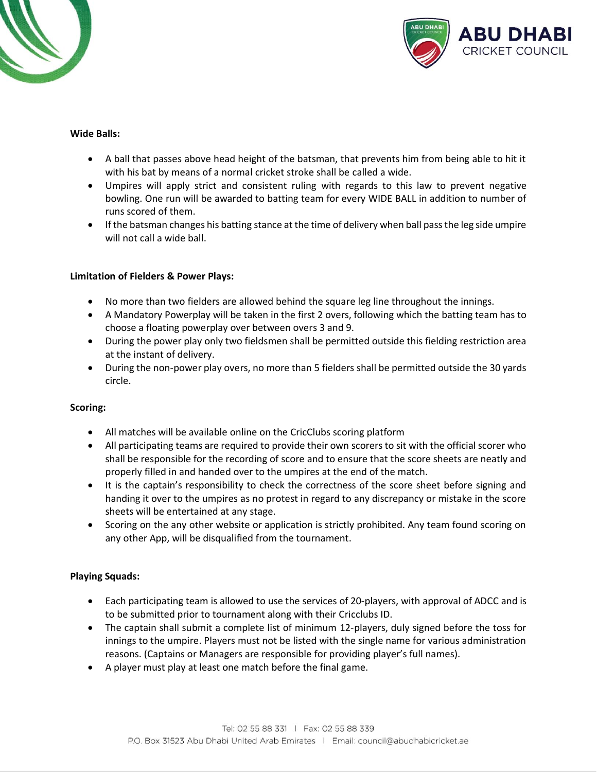



#### **Wide Balls:**

- A ball that passes above head height of the batsman, that prevents him from being able to hit it with his bat by means of a normal cricket stroke shall be called a wide.
- Umpires will apply strict and consistent ruling with regards to this law to prevent negative bowling. One run will be awarded to batting team for every WIDE BALL in addition to number of runs scored of them.
- If the batsman changes his batting stance at the time of delivery when ball pass the leg side umpire will not call a wide ball.

#### **Limitation of Fielders & Power Plays:**

- No more than two fielders are allowed behind the square leg line throughout the innings.
- A Mandatory Powerplay will be taken in the first 2 overs, following which the batting team has to choose a floating powerplay over between overs 3 and 9.
- During the power play only two fieldsmen shall be permitted outside this fielding restriction area at the instant of delivery.
- During the non-power play overs, no more than 5 fielders shall be permitted outside the 30 yards circle.

#### **Scoring:**

- All matches will be available online on the CricClubs scoring platform
- All participating teams are required to provide their own scorers to sit with the official scorer who shall be responsible for the recording of score and to ensure that the score sheets are neatly and properly filled in and handed over to the umpires at the end of the match.
- It is the captain's responsibility to check the correctness of the score sheet before signing and handing it over to the umpires as no protest in regard to any discrepancy or mistake in the score sheets will be entertained at any stage.
- Scoring on the any other website or application is strictly prohibited. Any team found scoring on any other App, will be disqualified from the tournament.

#### **Playing Squads:**

- Each participating team is allowed to use the services of 20-players, with approval of ADCC and is to be submitted prior to tournament along with their Cricclubs ID.
- The captain shall submit a complete list of minimum 12-players, duly signed before the toss for innings to the umpire. Players must not be listed with the single name for various administration reasons. (Captains or Managers are responsible for providing player's full names).
- A player must play at least one match before the final game.